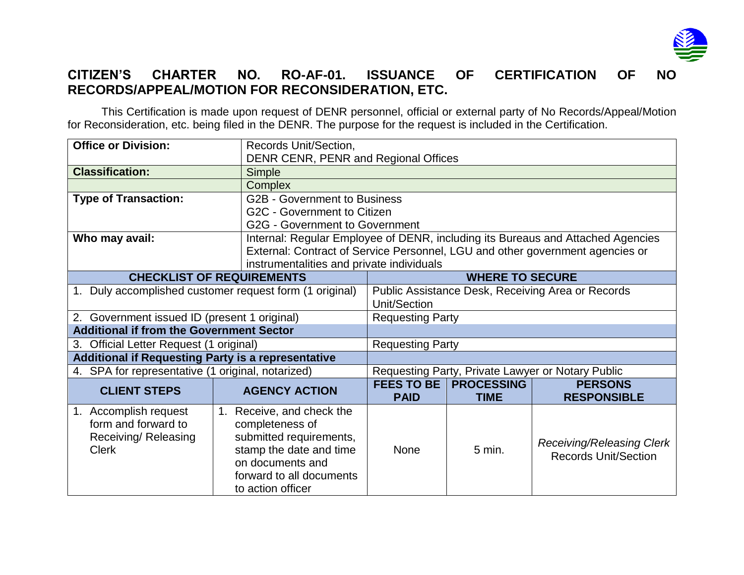

## **CITIZEN'S CHARTER NO. RO-AF-01. ISSUANCE OF CERTIFICATION OF NO RECORDS/APPEAL/MOTION FOR RECONSIDERATION, ETC.**

This Certification is made upon request of DENR personnel, official or external party of No Records/Appeal/Motion for Reconsideration, etc. being filed in the DENR. The purpose for the request is included in the Certification.

| <b>Office or Division:</b>                                                           | Records Unit/Section,                                                                                                                                                      | DENR CENR, PENR and Regional Offices                                            |                                  |                                                          |  |  |
|--------------------------------------------------------------------------------------|----------------------------------------------------------------------------------------------------------------------------------------------------------------------------|---------------------------------------------------------------------------------|----------------------------------|----------------------------------------------------------|--|--|
| <b>Classification:</b>                                                               | Simple                                                                                                                                                                     |                                                                                 |                                  |                                                          |  |  |
|                                                                                      | <b>Complex</b>                                                                                                                                                             |                                                                                 |                                  |                                                          |  |  |
| <b>Type of Transaction:</b><br><b>G2B - Government to Business</b>                   |                                                                                                                                                                            |                                                                                 |                                  |                                                          |  |  |
|                                                                                      | G2C - Government to Citizen                                                                                                                                                |                                                                                 |                                  |                                                          |  |  |
|                                                                                      |                                                                                                                                                                            | <b>G2G - Government to Government</b>                                           |                                  |                                                          |  |  |
| Who may avail:                                                                       |                                                                                                                                                                            | Internal: Regular Employee of DENR, including its Bureaus and Attached Agencies |                                  |                                                          |  |  |
|                                                                                      |                                                                                                                                                                            | External: Contract of Service Personnel, LGU and other government agencies or   |                                  |                                                          |  |  |
|                                                                                      |                                                                                                                                                                            | instrumentalities and private individuals                                       |                                  |                                                          |  |  |
| <b>CHECKLIST OF REQUIREMENTS</b>                                                     |                                                                                                                                                                            | <b>WHERE TO SECURE</b>                                                          |                                  |                                                          |  |  |
| 1. Duly accomplished customer request form (1 original)                              |                                                                                                                                                                            | Public Assistance Desk, Receiving Area or Records<br>Unit/Section               |                                  |                                                          |  |  |
| 2. Government issued ID (present 1 original)                                         |                                                                                                                                                                            | <b>Requesting Party</b>                                                         |                                  |                                                          |  |  |
| <b>Additional if from the Government Sector</b>                                      |                                                                                                                                                                            |                                                                                 |                                  |                                                          |  |  |
| 3. Official Letter Request (1 original)                                              |                                                                                                                                                                            | <b>Requesting Party</b>                                                         |                                  |                                                          |  |  |
| <b>Additional if Requesting Party is a representative</b>                            |                                                                                                                                                                            |                                                                                 |                                  |                                                          |  |  |
| 4. SPA for representative (1 original, notarized)                                    |                                                                                                                                                                            | Requesting Party, Private Lawyer or Notary Public                               |                                  |                                                          |  |  |
| <b>CLIENT STEPS</b>                                                                  | <b>AGENCY ACTION</b>                                                                                                                                                       | <b>FEES TO BE</b><br><b>PAID</b>                                                | <b>PROCESSING</b><br><b>TIME</b> | <b>PERSONS</b><br><b>RESPONSIBLE</b>                     |  |  |
| 1. Accomplish request<br>form and forward to<br>Receiving/ Releasing<br><b>Clerk</b> | Receive, and check the<br>1.<br>completeness of<br>submitted requirements,<br>stamp the date and time<br>on documents and<br>forward to all documents<br>to action officer | None                                                                            | $5 \text{ min.}$                 | Receiving/Releasing Clerk<br><b>Records Unit/Section</b> |  |  |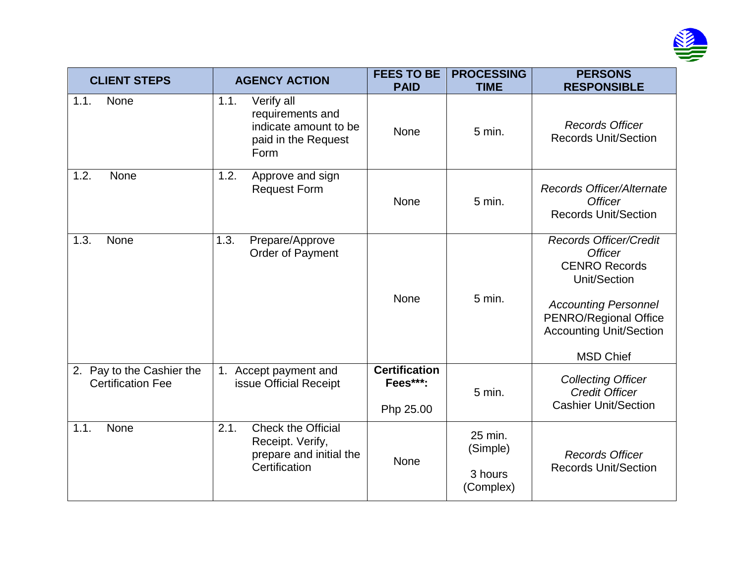

| <b>CLIENT STEPS</b>                                   | <b>AGENCY ACTION</b>                                                                              | <b>FEES TO BE</b><br><b>PAID</b>              | <b>PROCESSING</b><br><b>TIME</b>            | <b>PERSONS</b><br><b>RESPONSIBLE</b>                                                                                                                                                                  |
|-------------------------------------------------------|---------------------------------------------------------------------------------------------------|-----------------------------------------------|---------------------------------------------|-------------------------------------------------------------------------------------------------------------------------------------------------------------------------------------------------------|
| 1.1.<br>None                                          | 1.1.<br>Verify all<br>requirements and<br>indicate amount to be<br>paid in the Request<br>Form    | None                                          | 5 min.                                      | <b>Records Officer</b><br><b>Records Unit/Section</b>                                                                                                                                                 |
| 1.2.<br>None                                          | 1.2.<br>Approve and sign<br><b>Request Form</b>                                                   | None                                          | 5 min.                                      | <b>Records Officer/Alternate</b><br><b>Officer</b><br><b>Records Unit/Section</b>                                                                                                                     |
| 1.3.<br><b>None</b>                                   | 1.3.<br>Prepare/Approve<br>Order of Payment                                                       | None                                          | 5 min.                                      | <b>Records Officer/Credit</b><br><b>Officer</b><br><b>CENRO Records</b><br>Unit/Section<br><b>Accounting Personnel</b><br>PENRO/Regional Office<br><b>Accounting Unit/Section</b><br><b>MSD Chief</b> |
| 2. Pay to the Cashier the<br><b>Certification Fee</b> | Accept payment and<br>1.<br>issue Official Receipt                                                | <b>Certification</b><br>Fees***:<br>Php 25.00 | 5 min.                                      | <b>Collecting Officer</b><br><b>Credit Officer</b><br><b>Cashier Unit/Section</b>                                                                                                                     |
| 1.1.<br><b>None</b>                                   | 2.1.<br><b>Check the Official</b><br>Receipt. Verify,<br>prepare and initial the<br>Certification | None                                          | 25 min.<br>(Simple)<br>3 hours<br>(Complex) | <b>Records Officer</b><br><b>Records Unit/Section</b>                                                                                                                                                 |